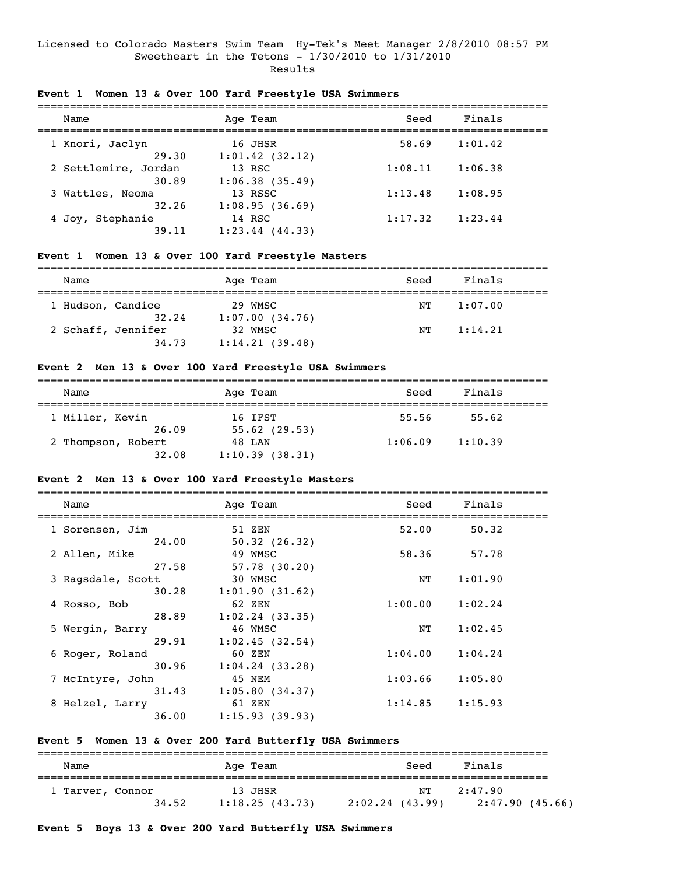## Licensed to Colorado Masters Swim Team Hy-Tek's Meet Manager 2/8/2010 08:57 PM Sweetheart in the Tetons - 1/30/2010 to 1/31/2010 Results

## **Event 1 Women 13 & Over 100 Yard Freestyle USA Swimmers**

| Name                          | Age Team                     | Seed    | Finals  |  |
|-------------------------------|------------------------------|---------|---------|--|
| 1 Knori, Jaclyn<br>29.30      | 16 JHSR<br>$1:01.42$ (32.12) | 58.69   | 1:01.42 |  |
| 2 Settlemire, Jordan<br>30.89 | 13 RSC<br>1:06.38(35.49)     | 1:08.11 | 1:06.38 |  |
| 3 Wattles, Neoma<br>32.26     | 13 RSSC<br>1:08.95(36.69)    | 1:13.48 | 1:08.95 |  |
| 4 Joy, Stephanie<br>39.11     | 14 RSC<br>$1:23.44$ (44.33)  | 1:17.32 | 1:23.44 |  |

## **Event 1 Women 13 & Over 100 Yard Freestyle Masters**

| Name              |                             | Age Team                  | Seed | Finals  |
|-------------------|-----------------------------|---------------------------|------|---------|
| 1 Hudson, Candice | 32.24                       | 29 WMSC<br>1:07.00(34.76) | NТ   | 1:07.00 |
|                   | 2 Schaff, Jennifer<br>34.73 | 32 WMSC<br>1:14.21(39.48) | NТ   | 1:14.21 |

## **Event 2 Men 13 & Over 100 Yard Freestyle USA Swimmers**

| Name               | Age Team       | Seed    | Finals  |  |
|--------------------|----------------|---------|---------|--|
| 1 Miller, Kevin    | 16 IFST        | 55.56   | 55.62   |  |
| 26.09              | 55.62(29.53)   |         |         |  |
| 2 Thompson, Robert | 48 LAN         | 1:06.09 | 1:10.39 |  |
| 32.08              | 1:10.39(38.31) |         |         |  |

## **Event 2 Men 13 & Over 100 Yard Freestyle Masters**

===============================================================================

| Name              | Age Team          | Seed    | Finals  |  |
|-------------------|-------------------|---------|---------|--|
| 1 Sorensen, Jim   | 51 ZEN            | 52.00   | 50.32   |  |
| 24.00             | 50.32(26.32)      |         |         |  |
| 2 Allen, Mike     | 49 WMSC           | 58.36   | 57.78   |  |
| 27.58             | $57.78$ (30.20)   |         |         |  |
| 3 Ragsdale, Scott | 30 WMSC           | NΤ      | 1:01.90 |  |
| 30.28             | 1:01.90(31.62)    |         |         |  |
| 4 Rosso, Bob      | 62 ZEN            | 1:00.00 | 1:02.24 |  |
| 28.89             | $1:02.24$ (33.35) |         |         |  |
| 5 Wergin, Barry   | 46 WMSC           | NΤ      | 1:02.45 |  |
| 29.91             | 1:02.45(32.54)    |         |         |  |
| 6 Roger, Roland   | 60 ZEN            | 1:04.00 | 1:04.24 |  |
| 30.96             | 1:04.24(33.28)    |         |         |  |
| 7 McIntyre, John  | 45 NEM            | 1:03.66 | 1:05.80 |  |
| 31.43             | 1:05.80(34.37)    |         |         |  |
| 8 Helzel, Larry   | 61 ZEN            | 1:14.85 | 1:15.93 |  |
| 36.00             | 1:15.93(39.93)    |         |         |  |

## **Event 5 Women 13 & Over 200 Yard Butterfly USA Swimmers**

| Name             |       | Age Team                  | Seed                  | Finals  |                |
|------------------|-------|---------------------------|-----------------------|---------|----------------|
| 1 Tarver, Connor | 34.52 | 13 JHSR<br>1:18.25(43.73) | NТ<br>2:02.24 (43.99) | 2:47.90 | 2:47.90(45.66) |

**Event 5 Boys 13 & Over 200 Yard Butterfly USA Swimmers**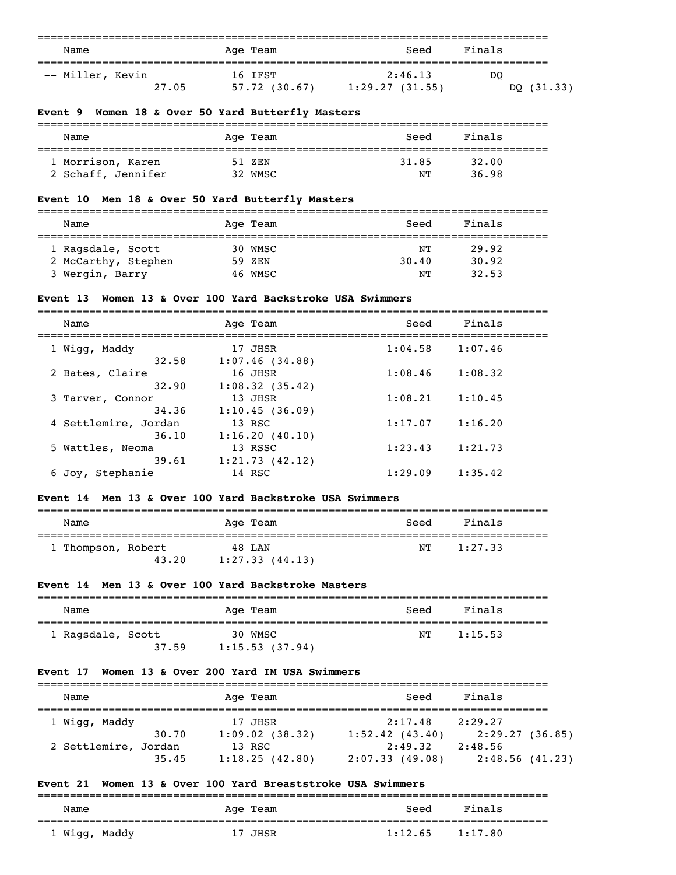| Name                                                                          | Age Team                                         | Seed                                                               | Finals  |              |
|-------------------------------------------------------------------------------|--------------------------------------------------|--------------------------------------------------------------------|---------|--------------|
| ===================================<br>-- Miller, Kevin<br>27.05              | 16 IFST                                          | ======================<br>2:46.13<br>57.72 (30.67) 1:29.27 (31.55) | DO      | DQ $(31.33)$ |
| Event 9 Women 18 & Over 50 Yard Butterfly Masters                             |                                                  |                                                                    |         |              |
| Name                                                                          | Age Team                                         | Seed                                                               | Finals  |              |
| 1 Morrison, Karen                                                             | =================<br>51 ZEN                      | ;===============================<br>31.85                          | 32.00   |              |
| 2 Schaff, Jennifer                                                            | 32 WMSC                                          | ΝT                                                                 | 36.98   |              |
| Event 10 Men 18 & Over 50 Yard Butterfly Masters                              |                                                  |                                                                    |         |              |
| Name                                                                          | Age Team                                         | Seed<br>====================================                       | Finals  |              |
| 1 Ragsdale, Scott                                                             | 30 WMSC                                          | NΤ                                                                 | 29.92   |              |
| 2 McCarthy, Stephen                                                           | 59 ZEN                                           | 30.40                                                              | 30.92   |              |
| 3 Wergin, Barry                                                               | 46 WMSC                                          | NΤ                                                                 | 32.53   |              |
| Event 13                                                                      | Women 13 & Over 100 Yard Backstroke USA Swimmers |                                                                    |         |              |
| Name                                                                          | Age Team                                         | Seed                                                               | Finals  |              |
| 1 Wigg, Maddy<br>32.58                                                        | 17 JHSR<br>1:07.46(34.88)                        | 1:04.58                                                            | 1:07.46 |              |
| 2 Bates, Claire<br>32.90                                                      | 16 JHSR<br>1:08.32(35.42)                        | 1:08.46                                                            | 1:08.32 |              |
| 3 Tarver, Connor<br>34.36                                                     | 13 JHSR<br>1:10.45(36.09)                        | 1:08.21                                                            | 1:10.45 |              |
| 4 Settlemire, Jordan<br>36.10                                                 | 13 RSC                                           | 1:17.07                                                            | 1:16.20 |              |
| 5 Wattles, Neoma                                                              | 1:16.20(40.10)<br>13 RSSC                        | 1:23.43                                                            | 1:21.73 |              |
| 39.61<br>6 Joy, Stephanie                                                     | 1:21.73(42.12)<br>14 RSC                         | 1:29.09                                                            | 1:35.42 |              |
| Event 14 Men 13 & Over 100 Yard Backstroke USA Swimmers                       |                                                  |                                                                    |         |              |
| Name                                                                          | Age Team                                         | Seed                                                               | Finals  |              |
| ================================<br>1 Thompson, Robert                        | 48 LAN                                           | ΝT                                                                 | 1:27.33 |              |
|                                                                               | $43.20$ $1:27.33$ $(44.13)$                      |                                                                    |         |              |
| Event 14 Men 13 & Over 100 Yard Backstroke Masters                            |                                                  |                                                                    |         |              |
| Name                                                                          | Age Team                                         | Seed                                                               | Finals  |              |
| 1 Ragsdale, Scott<br>37.59                                                    | 30 WMSC<br>1:15.53(37.94)                        | NΤ                                                                 | 1:15.53 |              |
| Event 17 Women 13 & Over 200 Yard IM USA Swimmers                             |                                                  |                                                                    |         |              |
| Name                                                                          | Age Team                                         | Seed                                                               | Finals  |              |
| 1 Wigg, Maddy                                                                 | 17 JHSR                                          | 2:17.48                                                            | 2:29.27 |              |
| 30.70<br>2 Settlemire, Jordan                                                 | 13 RSC                                           | 1:09.02 (38.32) 1:52.42 (43.40) 2:29.27 (36.85)<br>2:49.32 2:48.56 |         |              |
| 35.45                                                                         |                                                  | 1:18.25 (42.80) 2:07.33 (49.08) 2:48.56 (41.23)                    |         |              |
| Event 21 Women 13 & Over 100 Yard Breaststroke USA Swimmers<br>-------------- |                                                  |                                                                    |         |              |
| Name                                                                          | Age Team                                         | Seed                                                               | Finals  |              |

===============================================================================

| Name          | Age Team | Seed    | Finals  |
|---------------|----------|---------|---------|
| 1 Wigg, Maddy | 17 JHSR  | 1:12.65 | 1:17.80 |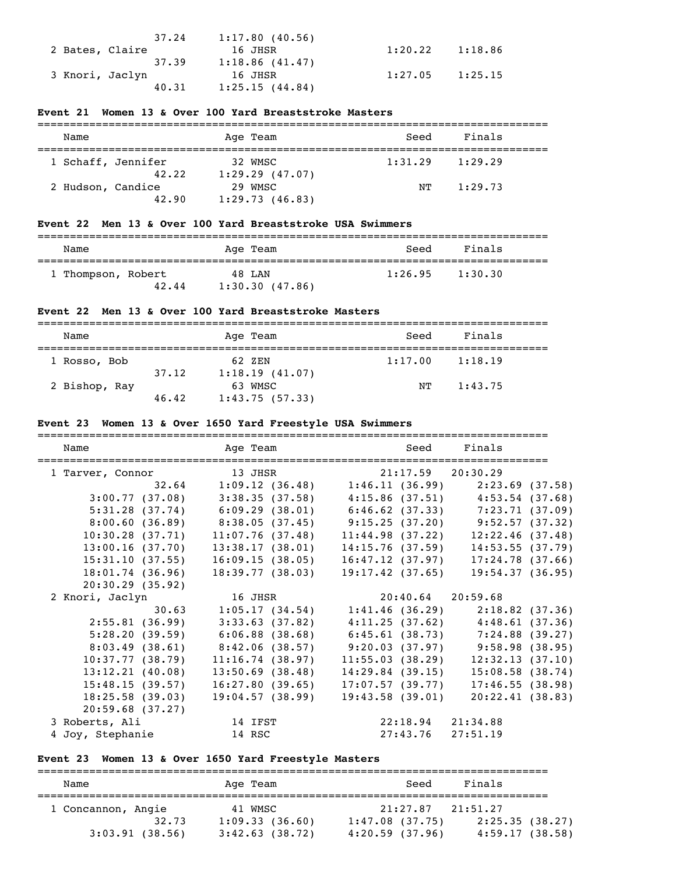| 37.24           | 1:17.80(40.56) |                     |  |
|-----------------|----------------|---------------------|--|
| 2 Bates, Claire | 16 JHSR        | $1:20.22$ $1:18.86$ |  |
| 37.39           | 1:18.86(41.47) |                     |  |
| 3 Knori, Jaclyn | 16 JHSR        | $1:27.05$ $1:25.15$ |  |
| 40.31           | 1:25.15(44.84) |                     |  |

## **Event 21 Women 13 & Over 100 Yard Breaststroke Masters**

| Name               |       | Age Team                  | Seed    | Finals  |
|--------------------|-------|---------------------------|---------|---------|
| 1 Schaff, Jennifer | 42.22 | 32 WMSC<br>1:29.29(47.07) | 1:31.29 | 1:29.29 |
| 2 Hudson, Candice  | 42.90 | 29 WMSC<br>1:29.73(46.83) | NТ      | 1:29.73 |

## **Event 22 Men 13 & Over 100 Yard Breaststroke USA Swimmers**

| Name               |       | Age Team                 | Seed    | Finals  |  |
|--------------------|-------|--------------------------|---------|---------|--|
| 1 Thompson, Robert | 42.44 | 48 LAN<br>1:30.30(47.86) | 1:26.95 | 1:30.30 |  |

## **Event 22 Men 13 & Over 100 Yard Breaststroke Masters**

| Name          |       | Age Team       | Seed    | Finals  |
|---------------|-------|----------------|---------|---------|
| 1 Rosso, Bob  |       | 62 ZEN         | 1:17.00 | 1:18.19 |
|               | 37.12 | 1:18.19(41.07) |         |         |
| 2 Bishop, Ray |       | 63 WMSC        | NТ      | 1:43.75 |
|               | 46.42 | 1:43.75(57.33) |         |         |

## **Event 23 Women 13 & Over 1650 Yard Freestyle USA Swimmers**

| Name             | Age Team                                                | Seed                  | Finals                                              |
|------------------|---------------------------------------------------------|-----------------------|-----------------------------------------------------|
| 1 Tarver, Connor | 13 JHSR                                                 | $21:17.59$ $20:30.29$ |                                                     |
|                  | $32.64$ 1:09.12 (36.48) 1:46.11 (36.99) 2:23.69 (37.58) |                       |                                                     |
| 3:00.77(37.08)   | $3:38.35$ (37.58) $4:15.86$ (37.51) $4:53.54$ (37.68)   |                       |                                                     |
| 5:31.28(37.74)   | $6:09.29$ (38.01) $6:46.62$ (37.33) 7:23.71 (37.09)     |                       |                                                     |
| 8:00.60(36.89)   | 8:38.05 (37.45) 9:15.25 (37.20) 9:52.57 (37.32)         |                       |                                                     |
| 10:30.28(37.71)  | 11:07.76(37.48)                                         | 11:44.98(37.22)       | 12:22.46(37.48)                                     |
| 13:00.16(37.70)  | 13:38.17(38.01)                                         | 14:15.76(37.59)       | 14:53.55(37.79)                                     |
| 15:31.10(37.55)  | 16:09.15(38.05)                                         | 16:47.12(37.97)       | 17:24.78(37.66)                                     |
| 18:01.74(36.96)  | 18:39.77(38.03)                                         | $19:17.42$ (37.65)    | 19:54.37(36.95)                                     |
| 20:30.29(35.92)  |                                                         |                       |                                                     |
| 2 Knori, Jaclyn  | 16 JHSR                                                 | $20:40.64$ $20:59.68$ |                                                     |
| 30.63            | 1:05.17(34.54)                                          |                       | $1:41.46$ (36.29) $2:18.82$ (37.36)                 |
| 2:55.81(36.99)   | 3:33.63(37.82)                                          |                       | $4:11.25(37.62)$ $4:48.61(37.36)$                   |
| 5:28.20(39.59)   |                                                         |                       | $6:06.88$ (38.68) $6:45.61$ (38.73) 7:24.88 (39.27) |
| 8:03.49(38.61)   | 8:42.06(38.57)                                          |                       | 9:20.03 (37.97) 9:58.98 (38.95)                     |
| 10:37.77(38.79)  | 11:16.74(38.97)                                         | 11:55.03(38.29)       | 12:32.13(37.10)                                     |
| 13:12.21(40.08)  | $13:50.69$ (38.48)                                      | 14:29.84(39.15)       | 15:08.58(38.74)                                     |
| 15:48.15(39.57)  | 16:27.80(39.65)                                         | 17:07.57(39.77)       | 17:46.55(38.98)                                     |
| 18:25.58(39.03)  | 19:04.57(38.99)                                         | 19:43.58(39.01)       | 20:22.41(38.83)                                     |
| 20:59.68(37.27)  |                                                         |                       |                                                     |
| 3 Roberts, Ali   | 14 IFST                                                 | 22:18.94 21:34.88     |                                                     |
| 4 Joy, Stephanie | 14 RSC                                                  | $27:43.76$ $27:51.19$ |                                                     |

# **Event 23 Women 13 & Over 1650 Yard Freestyle Masters**

| Name               | Age Team          | Seed              | Finals         |
|--------------------|-------------------|-------------------|----------------|
| 1 Concannon, Angie | 41 WMSC           | 21:27.87          | 21:51.27       |
| 32.73              | 1:09.33(36.60)    | $1:47.08$ (37.75) | 2:25.35(38.27) |
| 3:03.91(38.56)     | $3:42.63$ (38.72) | 4:20.59(37.96)    | 4:59.17(38.58) |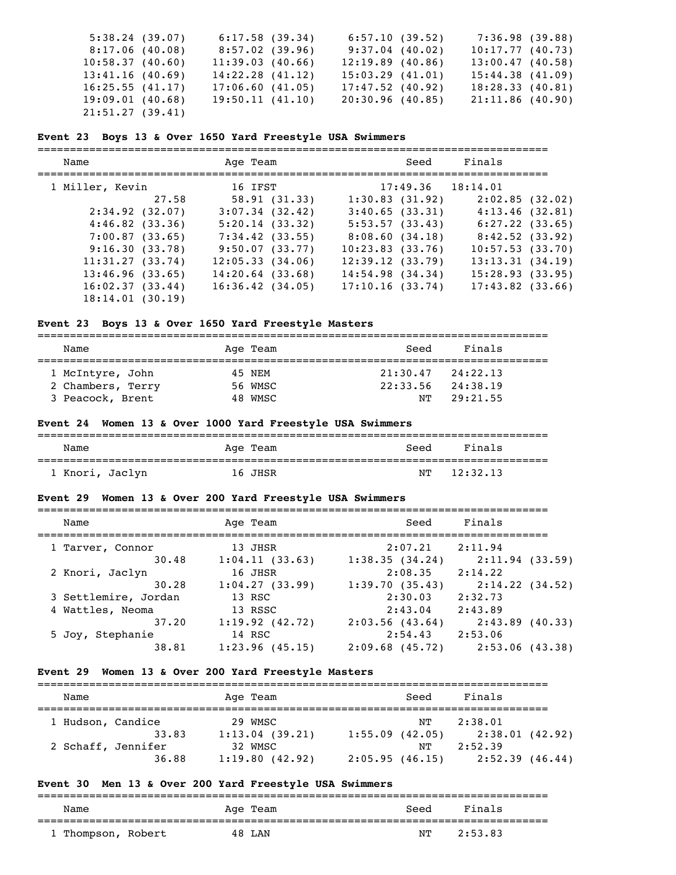| 5:38.24(39.07)  | 6:17.58(39.34)  | 6:57.10(39.52)     | 7:36.98 (39.88)    |  |
|-----------------|-----------------|--------------------|--------------------|--|
| 8:17.06(40.08)  | 8:57.02(39.96)  | $9:37.04$ (40.02)  | 10:17.77(40.73)    |  |
| 10:58.37(40.60) | 11:39.03(40.66) | $12:19.89$ (40.86) | $13:00.47$ (40.58) |  |
| 13:41.16(40.69) | 14:22.28(41.12) | 15:03.29(41.01)    | 15:44.38(41.09)    |  |
| 16:25.55(41.17) | 17:06.60(41.05) | $17:47.52$ (40.92) | 18:28.33(40.81)    |  |
| 19:09.01(40.68) | 19:50.11(41.10) | 20:30.96(40.85)    | 21:11.86(40.90)    |  |
| 21:51.27(39.41) |                 |                    |                    |  |

#### **Event 23 Boys 13 & Over 1650 Yard Freestyle USA Swimmers**

=============================================================================== Name **Age Team** Age Team Seed Finals ===============================================================================

| 1 Miller, Kevin     |       |                      | 16 IFST      |                      | 17:49.36 18:14.01  |  |
|---------------------|-------|----------------------|--------------|----------------------|--------------------|--|
|                     | 27.58 |                      | 58.91(31.33) | 1:30.83(31.92)       | 2:02.85(32.02)     |  |
| 2:34.92(32.07)      |       | $3:07.34$ (32.42)    |              | 3:40.65(33.31)       | 4:13.46(32.81)     |  |
| $4:46.82$ $(33.36)$ |       | 5:20.14(33.32)       |              | 5:53.57(33.43)       | 6:27.22(33.65)     |  |
| 7:00.87(33.65)      |       | $7:34.42$ (33.55)    |              | 8:08.60(34.18)       | 8:42.52(33.92)     |  |
| 9:16.30(33.78)      |       | 9:50.07(33.77)       |              | 10:23.83(33.76)      | 10:57.53(33.70)    |  |
| 11:31.27(33.74)     |       | 12:05.33(34.06)      |              | 12:39.12(33.79)      | 13:13.31(34.19)    |  |
| 13:46.96(33.65)     |       | $14:20.64$ (33.68)   |              | $14:54.98$ $(34.34)$ | 15:28.93(33.95)    |  |
| 16:02.37(33.44)     |       | $16:36.42$ $(34.05)$ |              | 17:10.16(33.74)      | $17:43.82$ (33.66) |  |
| 18:14.01(30.19)     |       |                      |              |                      |                    |  |

### **Event 23 Boys 13 & Over 1650 Yard Freestyle Masters**

===============================================================================

| Name              | Age Team | Seed                  | Finals   |  |
|-------------------|----------|-----------------------|----------|--|
| 1 McIntyre, John  | 45 NEM   | $21:30.47$ $24:22.13$ |          |  |
| 2 Chambers, Terry | 56 WMSC  | 22:33.56              | 24:38.19 |  |
| 3 Peacock, Brent  | 48 WMSC  | NT                    | 29:21.55 |  |

## **Event 24 Women 13 & Over 1000 Yard Freestyle USA Swimmers**

| Name            | Age Team | Finals<br>Seed |  |
|-----------------|----------|----------------|--|
|                 |          |                |  |
| 1 Knori, Jaclyn | 16 JHSR  | 12:32.13<br>NT |  |

===============================================================================

#### **Event 29 Women 13 & Over 200 Yard Freestyle USA Swimmers**

| Name                 | Age Team       | Seed              | Finals         |
|----------------------|----------------|-------------------|----------------|
| 1 Tarver, Connor     | 13 JHSR        | 2:07.21           | 2:11.94        |
| 30.48                | 1:04.11(33.63) | 1:38.35(34.24)    | 2:11.94(33.59) |
| 2 Knori, Jaclyn      | 16 JHSR        | 2:08.35           | 2:14.22        |
| 30.28                | 1:04.27(33.99) | 1:39.70(35.43)    | 2:14.22(34.52) |
| 3 Settlemire, Jordan | 13 RSC         | 2:30.03           | 2:32.73        |
| 4 Wattles, Neoma     | 13 RSSC        | 2:43.04           | 2:43.89        |
| 37.20                | 1:19.92(42.72) | 2:03.56(43.64)    | 2:43.89(40.33) |
| 5 Joy, Stephanie     | 14 RSC         | 2:54.43           | 2:53.06        |
| 38.81                | 1:23.96(45.15) | $2:09.68$ (45.72) | 2:53.06(43.38) |

## **Event 29 Women 13 & Over 200 Yard Freestyle Masters**

| Name               |       | Age Team       |                | Seed | Finals          |  |
|--------------------|-------|----------------|----------------|------|-----------------|--|
| 1 Hudson, Candice  |       | 29 WMSC        |                | NТ   | 2:38.01         |  |
|                    | 33.83 | 1:13.04(39.21) | 1:55.09(42.05) |      | 2:38.01 (42.92) |  |
| 2 Schaff, Jennifer |       | 32 WMSC        |                | NТ   | 2:52.39         |  |
|                    | 36.88 | 1:19.80(42.92) | 2:05.95(46.15) |      | 2:52.39(46.44)  |  |

## **Event 30 Men 13 & Over 200 Yard Freestyle USA Swimmers**

| Name             |  | Age Team | Seed | Finals  |
|------------------|--|----------|------|---------|
| Thompson, Robert |  | 48 LAN   | NТ   | 2:53.83 |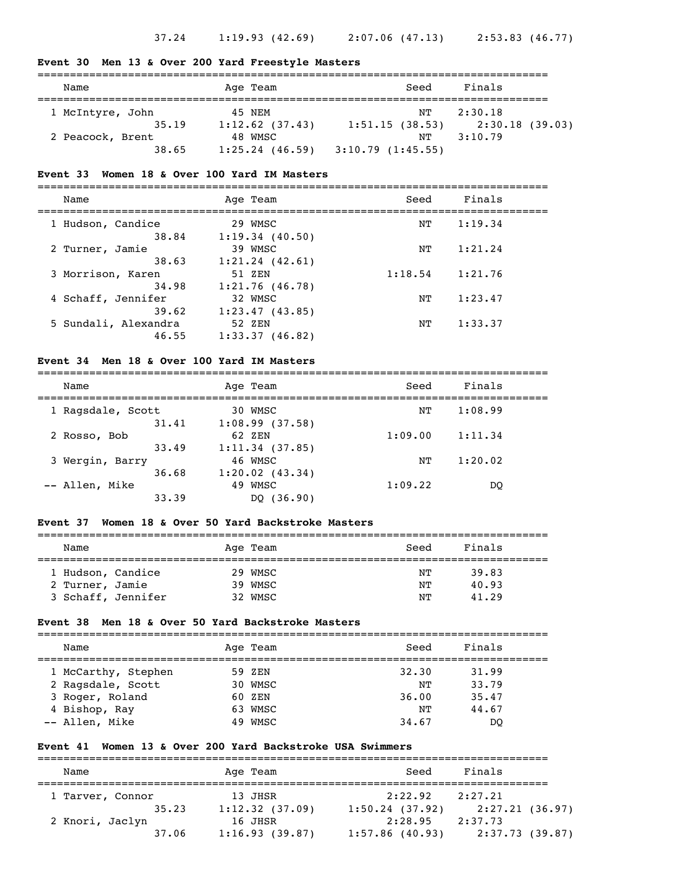#### **Event 30 Men 13 & Over 200 Yard Freestyle Masters**

| Name             | Age Team          | Seed             | Finals          |
|------------------|-------------------|------------------|-----------------|
| 1 McIntyre, John | 45 NEM            | NT               | 2:30.18         |
| 35.19            | $1:12.62$ (37.43) | 1:51.15(38.53)   | 2:30.18 (39.03) |
| 2 Peacock, Brent | 48 WMSC           | NТ               | 3:10.79         |
| 38.65            | $1:25.24$ (46.59) | 3:10.79(1:45.55) |                 |

#### **Event 33 Women 18 & Over 100 Yard IM Masters**

===============================================================================

| Name               |                      | Age Team            | Seed    | Finals  |  |
|--------------------|----------------------|---------------------|---------|---------|--|
| 1 Hudson, Candice  |                      | 29 WMSC             | NΤ      | 1:19.34 |  |
|                    | 38.84                | 1:19.34(40.50)      |         |         |  |
| 2 Turner, Jamie    |                      | 39 WMSC             | NΤ      | 1:21.24 |  |
|                    | 38.63                | $1:21.24$ $(42.61)$ |         |         |  |
| 3 Morrison, Karen  |                      | 51 ZEN              | 1:18.54 | 1:21.76 |  |
|                    | 34.98                | 1:21.76(46.78)      |         |         |  |
| 4 Schaff, Jennifer |                      | 32 WMSC             | NΤ      | 1:23.47 |  |
|                    | 39.62                | 1:23.47(43.85)      |         |         |  |
|                    | 5 Sundali, Alexandra | 52 ZEN              | NΤ      | 1:33.37 |  |
|                    | 46.55                | 1:33.37(46.82)      |         |         |  |
|                    |                      |                     |         |         |  |

#### **Event 34 Men 18 & Over 100 Yard IM Masters**

===============================================================================

| Name              |       | Age Team            | Seed    | Finals  |  |
|-------------------|-------|---------------------|---------|---------|--|
| 1 Ragsdale, Scott |       | 30 WMSC             | NΤ      | 1:08.99 |  |
|                   | 31.41 | 1:08.99(37.58)      |         |         |  |
| 2 Rosso, Bob      |       | 62 ZEN              | 1:09.00 | 1:11.34 |  |
|                   | 33.49 | 1:11.34(37.85)      |         |         |  |
| 3 Wergin, Barry   |       | 46 WMSC             | NΤ      | 1:20.02 |  |
|                   | 36.68 | $1:20.02$ $(43.34)$ |         |         |  |
| -- Allen, Mike    |       | 49 WMSC             | 1:09.22 | DO      |  |
|                   | 33.39 | DO (36.90)          |         |         |  |

#### **Event 37 Women 18 & Over 50 Yard Backstroke Masters**

| Name               | Age Team | Seed | Finals |
|--------------------|----------|------|--------|
|                    |          |      |        |
| 1 Hudson, Candice  | 29 WMSC  | NΤ   | 39.83  |
| 2 Turner, Jamie    | 39 WMSC  | NΤ   | 40.93  |
| 3 Schaff, Jennifer | 32 WMSC  | NΤ   | 41.29  |

#### **Event 38 Men 18 & Over 50 Yard Backstroke Masters**

| Name                |  | Age Team | Seed  | Finals |  |  |
|---------------------|--|----------|-------|--------|--|--|
| 1 McCarthy, Stephen |  | 59 ZEN   | 32.30 | 31.99  |  |  |
| 2 Ragsdale, Scott   |  | 30 WMSC  | NͲ    | 33.79  |  |  |
| 3 Roger, Roland     |  | 60 ZEN   | 36.00 | 35.47  |  |  |
| 4 Bishop, Ray       |  | 63 WMSC  | NΤ    | 44.67  |  |  |
| -- Allen, Mike      |  | 49 WMSC  | 34.67 | DO     |  |  |

#### **Event 41 Women 13 & Over 200 Yard Backstroke USA Swimmers**

=============================================================================== Name and Age Team Seed Finals =============================================================================== 1 Tarver, Connor 13 JHSR 2:22.92 2:27.21 35.23 1:12.32 (37.09) 1:50.24 (37.92) 2:27.21 (36.97) 2 Knori, Jaclyn 16 JHSR 2:28.95 2:37.73 37.06 1:16.93 (39.87) 1:57.86 (40.93) 2:37.73 (39.87)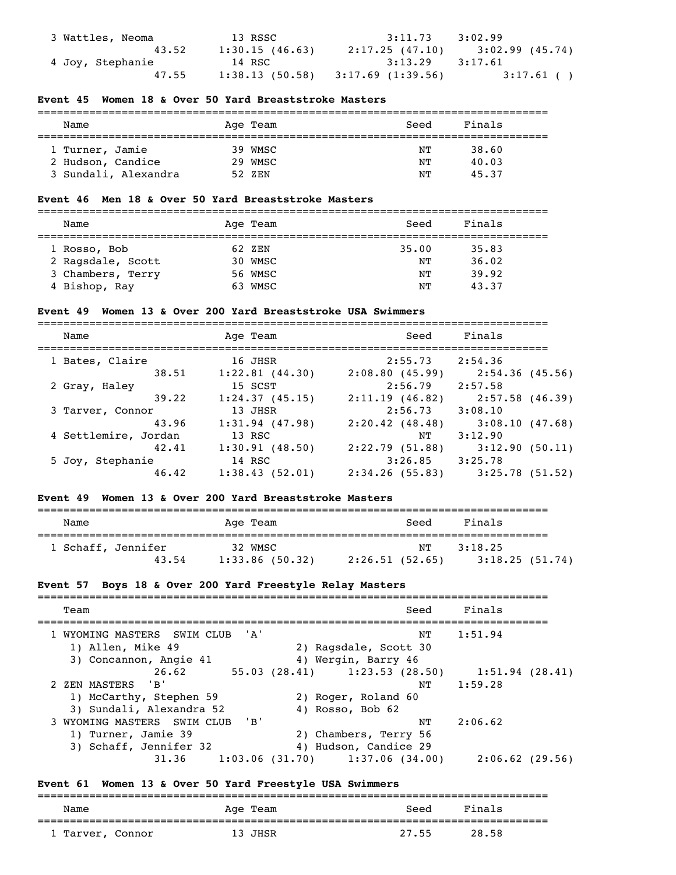| 3 Wattles, Neoma | 13 RSSC        | $3:11.73$ $3:02.99$                 |                                     |
|------------------|----------------|-------------------------------------|-------------------------------------|
| 43.52            | 1:30.15(46.63) |                                     | $2:17.25$ (47.10) $3:02.99$ (45.74) |
| 4 Joy, Stephanie | 14 RSC         | $3:13.29$ $3:17.61$                 |                                     |
| 47.55            |                | $1:38.13(50.58)$ $3:17.69(1:39.56)$ | $3:17.61$ ()                        |

## **Event 45 Women 18 & Over 50 Yard Breaststroke Masters**

| Name                 | Age Team | Finals<br>Seed |  |  |  |  |
|----------------------|----------|----------------|--|--|--|--|
|                      |          |                |  |  |  |  |
| 1 Turner, Jamie      | 39 WMSC  | 38.60<br>NΤ    |  |  |  |  |
| 2 Hudson, Candice    | 29 WMSC  | 40.03<br>NͲ    |  |  |  |  |
| 3 Sundali, Alexandra | 52 ZEN   | 45.37<br>NΤ    |  |  |  |  |

## **Event 46 Men 18 & Over 50 Yard Breaststroke Masters**

| Name              |  | Age Team | Seed  | Finals |  |  |
|-------------------|--|----------|-------|--------|--|--|
|                   |  |          |       |        |  |  |
| 1 Rosso, Bob      |  | 62 ZEN   | 35.00 | 35.83  |  |  |
| 2 Ragsdale, Scott |  | 30 WMSC  | NΤ    | 36.02  |  |  |
| 3 Chambers, Terry |  | 56 WMSC  | NΤ    | 39.92  |  |  |
| 4 Bishop, Ray     |  | 63 WMSC  | NΤ    | 43.37  |  |  |

#### **Event 49 Women 13 & Over 200 Yard Breaststroke USA Swimmers**

| Name                 | Age Team          | Seed           | Finals            |
|----------------------|-------------------|----------------|-------------------|
| 1 Bates, Claire      | 16 JHSR           | 2:55.73        | 2:54.36           |
| 38.51                | 1:22.81(44.30)    | 2:08.80(45.99) | 2:54.36(45.56)    |
| 2 Gray, Haley        | 15 SCST           | 2:56.79        | 2:57.58           |
| 39.22                | 1:24.37(45.15)    | 2:11.19(46.82) | $2:57.58$ (46.39) |
| 3 Tarver, Connor     | 13 JHSR           | 2:56.73        | 3:08.10           |
| 43.96                | $1:31.94$ (47.98) | 2:20.42(48.48) | 3:08.10(47.68)    |
| 4 Settlemire, Jordan | 13 RSC            | NΤ             | 3:12.90           |
| 42.41                | 1:30.91(48.50)    | 2:22.79(51.88) | 3:12.90(50.11)    |
| 5 Joy, Stephanie     | 14 RSC            | 3:26.85        | 3:25.78           |
| 46.42                | 1:38.43(52.01)    | 2:34.26(55.83) | 3:25.78(51.52)    |

## **Event 49 Women 13 & Over 200 Yard Breaststroke Masters**

| Name               | Age Team          | Seed           | Finals         |  |  |  |  |
|--------------------|-------------------|----------------|----------------|--|--|--|--|
| 1 Schaff, Jennifer | 32 WMSC           | NТ             | 3:18.25        |  |  |  |  |
| 43.54              | $1:33.86$ (50.32) | 2:26.51(52.65) | 3:18.25(51.74) |  |  |  |  |

## **Event 57 Boys 18 & Over 200 Yard Freestyle Relay Masters**

| Seed<br>Team                                                                         | Finals            |
|--------------------------------------------------------------------------------------|-------------------|
| ' A'<br>1 WYOMING MASTERS SWIM CLUB<br>NT                                            | 1:51.94           |
| 1) Allen, Mike 49<br>2) Ragsdale, Scott 30                                           |                   |
| 4) Wergin, Barry 46<br>3) Concannon, Angie 41                                        |                   |
| 55.03 (28.41) 1:23.53 (28.50) 1:51.94 (28.41)<br>26.62                               |                   |
| 2 ZEN MASTERS<br>'B'<br>NΤ                                                           | 1:59.28           |
| 1) McCarthy, Stephen 59<br>2) Roger, Roland 60                                       |                   |
| 3) Sundali, Alexandra 52<br>4) Rosso, Bob 62                                         |                   |
| $^{\prime}$ B <sup><math>^{\prime}</math></sup><br>3 WYOMING MASTERS SWIM CLUB<br>NΤ | 2:06.62           |
| 1) Turner, Jamie 39<br>2) Chambers, Terry 56                                         |                   |
| 3) Schaff, Jennifer 32<br>4) Hudson, Candice 29                                      |                   |
| 1:37.06(34.00)<br>1:03.06(31.70)<br>31.36                                            | $2:06.62$ (29.56) |

## **Event 61 Women 13 & Over 50 Yard Freestyle USA Swimmers**

| Name             | Age Team | Seed  | Finals |  |  |  |
|------------------|----------|-------|--------|--|--|--|
| 1 Tarver, Connor | 13 JHSR  | 27.55 | 28.58  |  |  |  |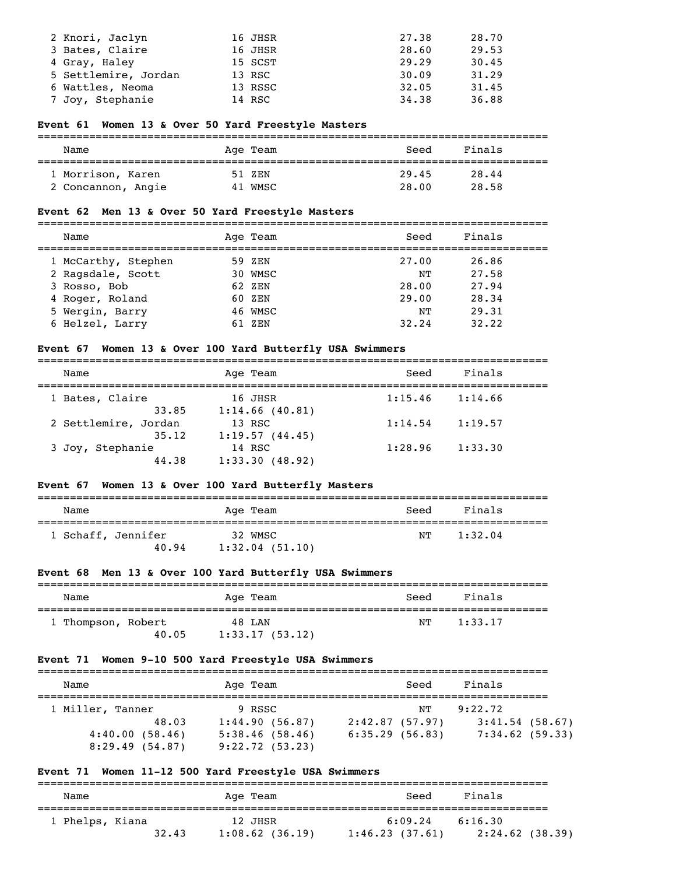| 2 Knori, Jaclyn      | 16 JHSR | 27.38 | 28.70 |
|----------------------|---------|-------|-------|
| 3 Bates, Claire      | 16 JHSR | 28.60 | 29.53 |
| 4 Gray, Haley        | 15 SCST | 29.29 | 30.45 |
| 5 Settlemire, Jordan | 13 RSC  | 30.09 | 31.29 |
| 6 Wattles, Neoma     | 13 RSSC | 32.05 | 31.45 |
| 7 Joy, Stephanie     | 14 RSC  | 34.38 | 36.88 |

## **Event 61 Women 13 & Over 50 Yard Freestyle Masters**

| Name               | Age Team | Seed  | Finals |  |  |  |
|--------------------|----------|-------|--------|--|--|--|
| 1 Morrison, Karen  | 51 ZEN   | 29.45 | 28.44  |  |  |  |
| 2 Concannon, Angie | 41 WMSC  | 28.00 | 28.58  |  |  |  |

## **Event 62 Men 13 & Over 50 Yard Freestyle Masters**

| ___  | ___________________ | ------------------------------------- |    |
|------|---------------------|---------------------------------------|----|
| Name | Age<br>am           | SPPC                                  | nа |

| 1 McCarthy, Stephen | 59 ZEN  | 27.00 | 26.86 |
|---------------------|---------|-------|-------|
| 2 Ragsdale, Scott   | 30 WMSC | NΤ    | 27.58 |
| 3 Rosso, Bob        | 62 ZEN  | 28.00 | 27.94 |
| 4 Roger, Roland     | 60 ZEN  | 29.00 | 28.34 |
| 5 Wergin, Barry     | 46 WMSC | NΤ    | 29.31 |
| 6 Helzel, Larry     | 61 ZEN  | 32.24 | 32.22 |

## **Event 67 Women 13 & Over 100 Yard Butterfly USA Swimmers**

| Name                 | Age Team       | Seed    | Finals  |  |
|----------------------|----------------|---------|---------|--|
| 1 Bates, Claire      | 16 JHSR        | 1:15.46 | 1:14.66 |  |
| 33.85                | 1:14.66(40.81) |         |         |  |
| 2 Settlemire, Jordan | 13 RSC         | 1:14.54 | 1:19.57 |  |
| 35.12                | 1:19.57(44.45) |         |         |  |
| 3 Joy, Stephanie     | 14 RSC         | 1:28.96 | 1:33.30 |  |
| 44.38                | 1:33.30(48.92) |         |         |  |

## **Event 67 Women 13 & Over 100 Yard Butterfly Masters**

| Name |                             | Age Team                  | Seed | Finals  |
|------|-----------------------------|---------------------------|------|---------|
|      | 1 Schaff, Jennifer<br>40.94 | 32 WMSC<br>1:32.04(51.10) | NТ   | 1:32.04 |

## **Event 68 Men 13 & Over 100 Yard Butterfly USA Swimmers**

| Name               |       | Age Team |                | Seed | Finals  |
|--------------------|-------|----------|----------------|------|---------|
| 1 Thompson, Robert |       | 48 LAN   |                | NТ   | 1:33.17 |
|                    | 40.05 |          | 1:33.17(53.12) |      |         |

## **Event 71 Women 9-10 500 Yard Freestyle USA Swimmers**

| Name                                                 |       | Age Team                                                     |                                  | Seed | Finals                                            |  |
|------------------------------------------------------|-------|--------------------------------------------------------------|----------------------------------|------|---------------------------------------------------|--|
| 1 Miller, Tanner<br>4:40.00(58.46)<br>8:29.49(54.87) | 48.03 | 9 RSSC<br>1:44.90(56.87)<br>5:38.46(58.46)<br>9:22.72(53.23) | 2:42.87(57.97)<br>6:35.29(56.83) | NТ   | 9:22.72<br>$3:41.54$ (58.67)<br>$7:34.62$ (59.33) |  |

## **Event 71 Women 11-12 500 Yard Freestyle USA Swimmers**

| Name            | Age Team          | Seed           | Finals          |
|-----------------|-------------------|----------------|-----------------|
| 1 Phelps, Kiana | 12 JHSR           | 6:09.24        | 6:16.30         |
| 32.43           | $1:08.62$ (36.19) | 1:46.23(37.61) | 2:24.62 (38.39) |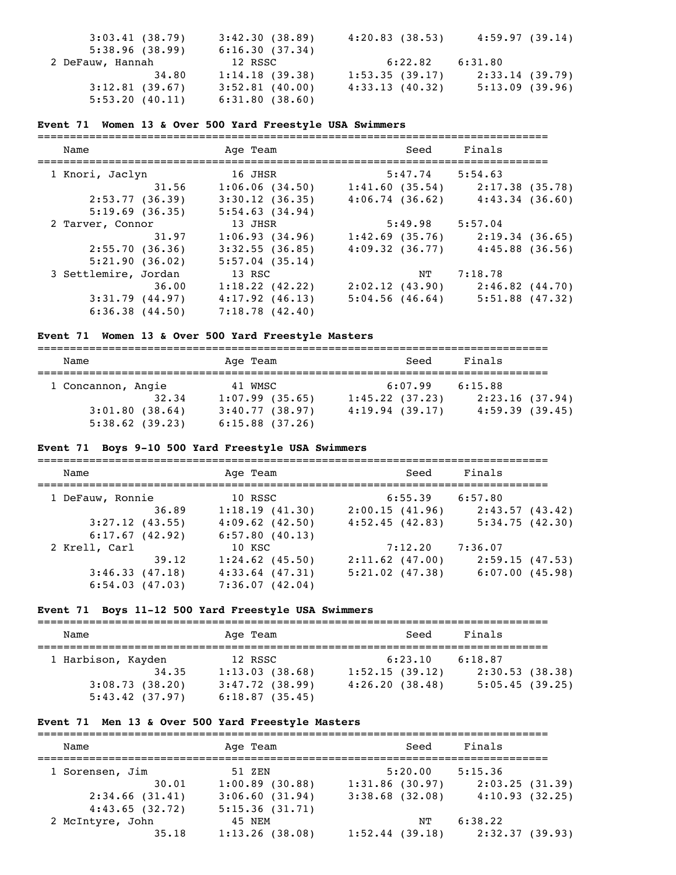| 3:03.41(38.79)   | 3:42.30(38.89)    | 4:20.83(38.53) | 4:59.97(39.14) |
|------------------|-------------------|----------------|----------------|
| 5:38.96(38.99)   | 6:16.30(37.34)    |                |                |
| 2 DeFauw, Hannah | 12 RSSC           | 6:22.82        | 6:31.80        |
| 34.80            | 1:14.18(39.38)    | 1:53.35(39.17) | 2:33.14(39.79) |
| 3:12.81(39.67)   | $3:52.81$ (40.00) | 4:33.13(40.32) | 5:13.09(39.96) |
| 5:53.20(40.11)   | 6:31.80(38.60)    |                |                |

#### **Event 71 Women 13 & Over 500 Yard Freestyle USA Swimmers**

=============================================================================== Name Ream Age Team Seed Finals =============================================================================== 1 Knori, Jaclyn 16 JHSR 5:47.74 5:54.63 31.56 1:06.06 (34.50) 1:41.60 (35.54) 2:17.38 (35.78) 2:53.77 (36.39) 3:30.12 (36.35) 4:06.74 (36.62) 4:43.34 (36.60) 5:19.69 (36.35) 5:54.63 (34.94) 2 Tarver, Connor 13 JHSR 5:49.98 5:57.04 31.97 1:06.93 (34.96) 1:42.69 (35.76) 2:19.34 (36.65) 2:55.70 (36.36) 3:32.55 (36.85) 4:09.32 (36.77) 4:45.88 (36.56) 5:21.90 (36.02) 5:57.04 (35.14) 3 Settlemire, Jordan 13 RSC NT 7:18.78 36.00 1:18.22 (42.22) 2:02.12 (43.90) 2:46.82 (44.70) 3:31.79 (44.97) 4:17.92 (46.13) 5:04.56 (46.64) 5:51.88 (47.32) 6:36.38 (44.50) 7:18.78 (42.40)

## **Event 71 Women 13 & Over 500 Yard Freestyle Masters**

| Name               | Age Team       | Seed           | Finals         |
|--------------------|----------------|----------------|----------------|
| 1 Concannon, Angie | 41 WMSC        | 6:07.99        | 6:15.88        |
| 32.34              | 1:07.99(35.65) | 1:45.22(37.23) | 2:23.16(37.94) |
| 3:01.80(38.64)     | 3:40.77(38.97) | 4:19.94(39.17) | 4:59.39(39.45) |
| 5:38.62(39.23)     | 6:15.88(37.26) |                |                |

#### **Event 71 Boys 9-10 500 Yard Freestyle USA Swimmers**

| Name              | Age Team            | Seed              | Finals         |
|-------------------|---------------------|-------------------|----------------|
| 1 DeFauw, Ronnie  | 10 RSSC             | 6:55.39           | 6:57.80        |
| 36.89             | 1:18.19(41.30)      | 2:00.15(41.96)    | 2:43.57(43.42) |
| $3:27.12$ (43.55) | $4:09.62$ $(42.50)$ | 4:52.45(42.83)    | 5:34.75(42.30) |
| 6:17.67(42.92)    | 6:57.80(40.13)      |                   |                |
| 2 Krell, Carl     | 10 KSC              | 7:12.20           | 7:36.07        |
| 39.12             | $1:24.62$ (45.50)   | $2:11.62$ (47.00) | 2:59.15(47.53) |
| 3:46.33(47.18)    | $4:33.64$ (47.31)   | $5:21.02$ (47.38) | 6:07.00(45.98) |
| 6:54.03(47.03)    | 7:36.07(42.04)      |                   |                |

#### **Event 71 Boys 11-12 500 Yard Freestyle USA Swimmers**

| Name               |       | Age Team          | Seed           | Finals         |
|--------------------|-------|-------------------|----------------|----------------|
|                    |       |                   |                |                |
| 1 Harbison, Kayden |       | 12 RSSC           | 6:23.10        | 6:18.87        |
|                    | 34.35 | 1:13.03(38.68)    | 1:52.15(39.12) | 2:30.53(38.38) |
| 3:08.73(38.20)     |       | $3:47.72$ (38.99) | 4:26.20(38.48) | 5:05.45(39.25) |
| 5:43.42(37.97)     |       | 6:18.87(35.45)    |                |                |

### **Event 71 Men 13 & Over 500 Yard Freestyle Masters**

| Name             | Age Team       | Seed                | Finals         |
|------------------|----------------|---------------------|----------------|
| 1 Sorensen, Jim  | 51 ZEN         | 5:20.00             | 5:15.36        |
| 30.01            | 1:00.89(30.88) | 1:31.86(30.97)      | 2:03.25(31.39) |
| 2:34.66(31.41)   | 3:06.60(31.94) | $3:38.68$ $(32.08)$ | 4:10.93(32.25) |
| 4:43.65(32.72)   | 5:15.36(31.71) |                     |                |
| 2 McIntyre, John | 45 NEM         | NΤ                  | 6:38.22        |
| 35.18            | 1:13.26(38.08) | 1:52.44(39.18)      | 2:32.37(39.93) |